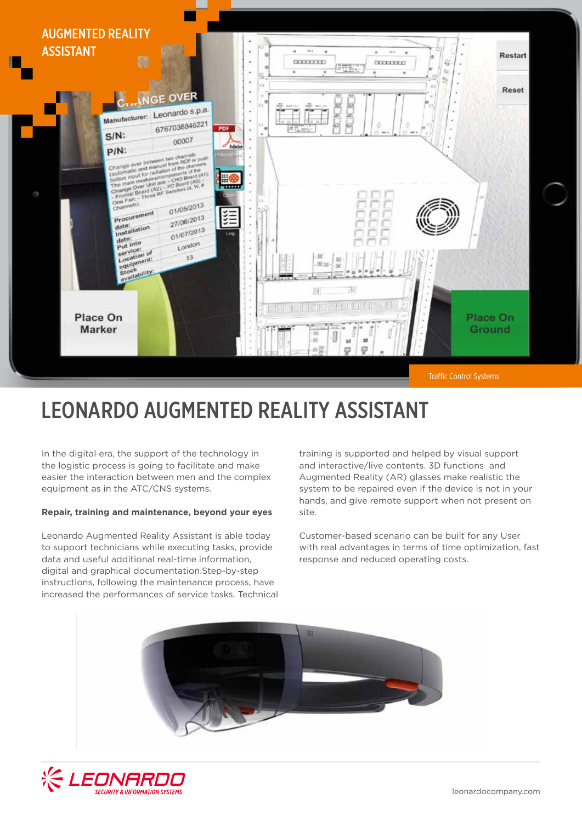

## LEONARDO AUGMENTED REALITY ASSISTANT

In the digital era, the support of the technology in the logistic process is going to facilitate and make easier the interaction between men and the complex equipment as in the ATC/CNS systems.

## **Repair, training and maintenance, beyond your eyes**

Leonardo Augmented Reality Assistant is able today to support technicians while executing tasks, provide data and useful additional real-time information, digital and graphical documentation.Step-by-step instructions, following the maintenance process, have increased the performances of service tasks. Technical training is supported and helped by visual support and interactive/live contents. 3D functions and Augmented Reality (AR) glasses make realistic the system to be repaired even if the device is not in your hands, and give remote support when not present on site.

Customer-based scenario can be built for any User with real advantages in terms of time optimization, fast response and reduced operating costs.